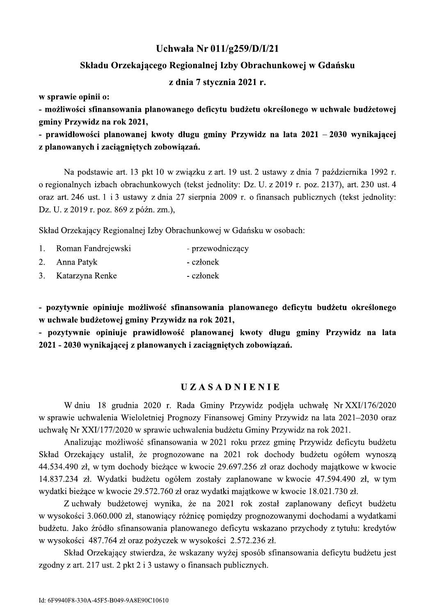Uchwała Nr 011/g259/D/I/21<br>
Składu Orzekającego Regionalnej Izby Obrachunkowej w Gdańsku<br>
z dnia 7 stycznia 2021 r.<br>
w sprawie opinii o:<br>
- możliwości sfinansowania planowanego deficytu budżetu określonego w uchwale budże stawie art. 13 pkt 10 w związku z art. 19 ust. 2 ustawy z dnia 7 pazdziernika 1992 r. o regionalnych izbach obrachunkowych (tekst jednolity: Dz. U. z 2019 r. poz. 2137), art. 230 ust. 4 oraz art. 246 ust. I 13 ustawy z dnia 27 sierpnia 2009 r. o finansach publicznych (tekst jednolity: Dz. U. z 2019 r. poz. 869 z późn. zm.),

Skład Orzekający Regionalnej Izby Obrachunkowej w Gdańsku w osobach:

- 1. Koman Fandrejewski p - przewodniczący
- 2. Anna Patyk - członek
- 

Skład Orzekający Regionalnej Izby Obrachunkowej w Gdańsku w osobach:<br>
1. Roman Fandrejewski – przewodniczący<br>
2. Anna Patyk – członek – członek – członek – członek – członek – członek – członek – członek – członek – człone niu 18 grudnia 2020 r. Rada Gminy Przywidz podjęła uchwałę Nr. XXI/176/2020 w sprawie uchwalenia Wieloletniej Prognozy Finansowej Gminy Przywidz na lata 2021–2030 oraz uchwałę Nr XXI/I / //2020 w sprawie uchwalenia budzetu Gminy Przywidz na rok 2021.

Analizując mozliwosc sfinansowania w 2021 roku przez gminę Przywidz deficytu budzetu Skład Orzekający ustalił, ze prognozowane na 2021 rok dochody budzetu ogółem wynoszą 44.534.490 zł, w tym dochody biezące w kwocie 29.697.256 zł oraz dochody majątkowe w kwocie 14.837.234 zł. Wydatki budzetu ogołem zostały zaplanowane w kwocie 47.594.490 zł, w tym wydatki biezące w kwocie 29.572.760 zł oraz wydatki majątkowe w kwocie 18.021.730 zł.

Z uchwały budzetowej wynika, ze na 2021 rok został zaplanowany deficyt budzetu w wysokości 3.060.000 zł, stanowiący roznicę pomiędzy prognozowanymi dochodami a wydatkami budzetu. Jako zrodło sfinansowania planowanego deficytu wskazano przychody z tytułu: kredytow w wysokości 487.764 zł oraz pożyczek w wysokości 2.572.236 zł.

Skład Orzekający stwierdza, ze wskazany wyzej sposob sfinansowania deficytu budzetu jest zgodny z art. 217 ust. 2 pkt 2 i 3 ustawy o finansach publicznych.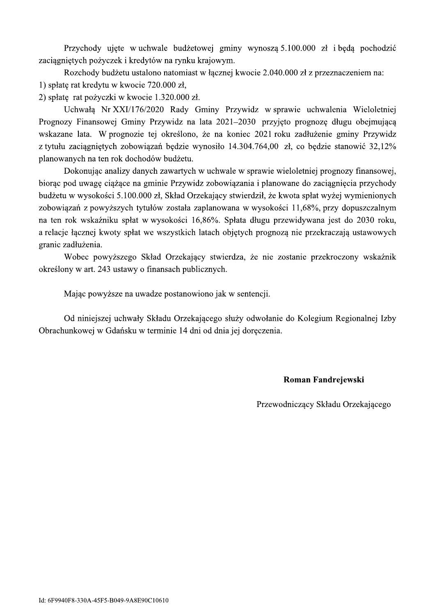Przychody ujęte w uchwale budżetowej gminy wynoszą 5.100.000 zł i będą pochodzić zaciagnietych pożyczek i kredytów na rynku krajowym.

Rozchody budżetu ustalono natomiast w łącznej kwocie 2.040.000 zł z przeznaczeniem na: 1) spłate rat kredytu w kwocie 720.000 zł,

2) spłatę rat pożyczki w kwocie 1.320.000 zł.

Uchwałą Nr XXI/176/2020 Rady Gminy Przywidz w sprawie uchwalenia Wieloletniej Prognozy Finansowej Gminy Przywidz na lata 2021–2030 przyjęto prognozę długu obejmującą wskazane lata. W prognozie tej określono, że na koniec 2021 roku zadłużenie gminy Przywidz z tytułu zaciągniętych zobowiązań będzie wynosiło 14.304.764,00 zł, co będzie stanowić 32,12% planowanych na ten rok dochodów budżetu.

Dokonując analizy danych zawartych w uchwale w sprawie wieloletniej prognozy finansowej, biorac pod uwagę ciążące na gminie Przywidz zobowiązania i planowane do zaciągnięcia przychody budżetu w wysokości 5.100.000 zł, Skład Orzekający stwierdził, że kwota spłat wyżej wymienionych zobowiązań z powyższych tytułów została zaplanowana w wysokości 11,68%, przy dopuszczalnym na ten rok wskaźniku spłat w wysokości 16,86%. Spłata długu przewidywana jest do 2030 roku, a relacje łącznej kwoty spłat we wszystkich latach objętych prognozą nie przekraczają ustawowych granic zadłużenia.

Wobec powyższego Skład Orzekający stwierdza, że nie zostanie przekroczony wskaźnik określony w art. 243 ustawy o finansach publicznych.

Mając powyższe na uwadze postanowiono jak w sentencji.

Od niniejszej uchwały Składu Orzekającego służy odwołanie do Kolegium Regionalnej Izby Obrachunkowej w Gdańsku w terminie 14 dni od dnia jej doreczenia.

## Roman Fandrejewski

Przewodniczacy Składu Orzekajacego